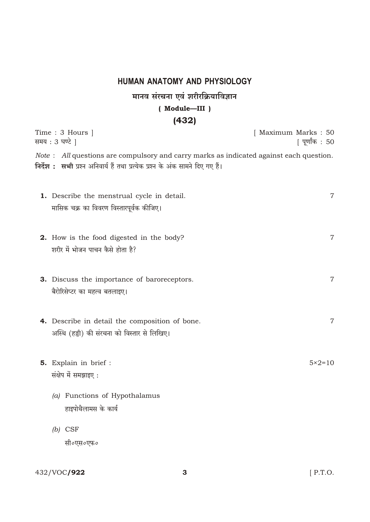## HUMAN ANATOMY AND PHYSIOLOGY

## मानव संरचना एवं शरीरक्रियाविज्ञान  $(Module—III)$  $(432)$

| Time: 3 Hours  <br>समय : 3 घण्टे                                                                                                                                                | [ Maximum Marks : 50<br>  पूर्णांक : 50 |
|---------------------------------------------------------------------------------------------------------------------------------------------------------------------------------|-----------------------------------------|
| <i>Note</i> : All questions are compulsory and carry marks as indicated against each question.<br>निर्देश: सभी प्रश्न अनिवार्य हैं तथा प्रत्येक प्रश्न के अंक सामने दिए गए हैं। |                                         |
| <b>1.</b> Describe the menstrual cycle in detail.<br>मासिक चक्र का विवरण विस्तारपूर्वक कीजिए।                                                                                   | 7                                       |
| <b>2.</b> How is the food digested in the body?<br>शरीर में भोजन पाचन कैसे होता है?                                                                                             | 7                                       |
| 3. Discuss the importance of baroreceptors.<br>बैरोरिसेप्टर का महत्व बतलाइए।                                                                                                    | 7                                       |
| 4. Describe in detail the composition of bone.<br>अस्थि (हड्डी) की संरचना को विस्तार से लिखिए।                                                                                  | 7                                       |
| 5. Explain in brief :<br>संक्षेप में समझाइए:                                                                                                                                    | $5 \times 2 = 10$                       |
| (a) Functions of Hypothalamus<br>हाइपोथैलामस के कार्य                                                                                                                           |                                         |
| $(b)$ CSF<br>सी०एस०एफ०                                                                                                                                                          |                                         |